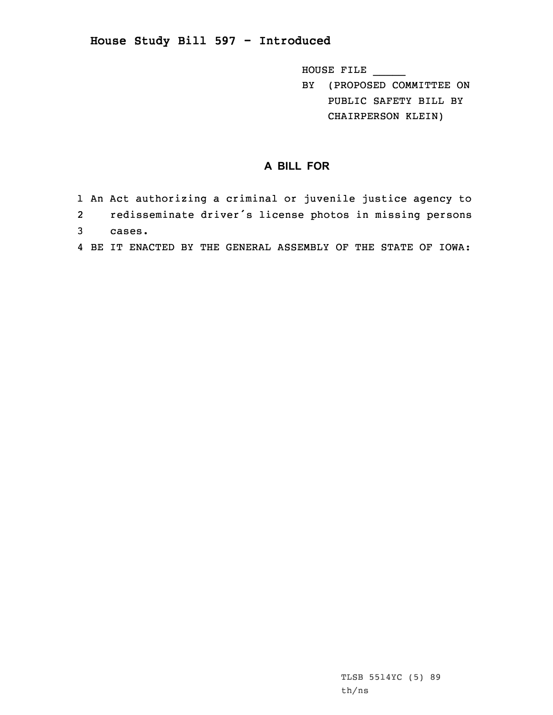## **House Study Bill 597 - Introduced**

HOUSE FILE \_\_\_\_\_

BY (PROPOSED COMMITTEE ON PUBLIC SAFETY BILL BY CHAIRPERSON KLEIN)

## **A BILL FOR**

- 1 An Act authorizing <sup>a</sup> criminal or juvenile justice agency to
- 2 redisseminate driver's license photos in missing persons
- 3 cases.
- 4 BE IT ENACTED BY THE GENERAL ASSEMBLY OF THE STATE OF IOWA: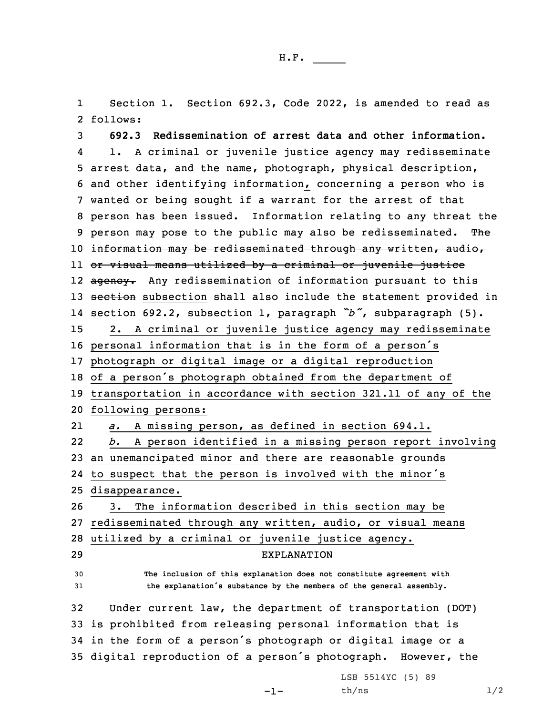1 Section 1. Section 692.3, Code 2022, is amended to read as 2 follows:

 **692.3 Redissemination of arrest data and other information.** 4 1. <sup>A</sup> criminal or juvenile justice agency may redisseminate arrest data, and the name, photograph, physical description, and other identifying information, concerning <sup>a</sup> person who is wanted or being sought if <sup>a</sup> warrant for the arrest of that person has been issued. Information relating to any threat the 9 person may pose to the public may also be redisseminated. The information may be redisseminated through any written, audio, or visual means utilized by <sup>a</sup> criminal or juvenile justice 12 <del>agency.</del> Any redissemination of information pursuant to this 13 section subsection shall also include the statement provided in section 692.2, subsection 1, paragraph *"b"*, subparagraph (5). 2. <sup>A</sup> criminal or juvenile justice agency may redisseminate personal information that is in the form of <sup>a</sup> person's photograph or digital image or <sup>a</sup> digital reproduction of <sup>a</sup> person's photograph obtained from the department of transportation in accordance with section 321.11 of any of the following persons: 21 *a.* <sup>A</sup> missing person, as defined in section 694.1. 22 *b.* <sup>A</sup> person identified in <sup>a</sup> missing person report involving an unemancipated minor and there are reasonable grounds to suspect that the person is involved with the minor's disappearance. 3. The information described in this section may be redisseminated through any written, audio, or visual means utilized by <sup>a</sup> criminal or juvenile justice agency. EXPLANATION **The inclusion of this explanation does not constitute agreement with the explanation's substance by the members of the general assembly.** Under current law, the department of transportation (DOT) is prohibited from releasing personal information that is in the form of <sup>a</sup> person's photograph or digital image or <sup>a</sup> digital reproduction of <sup>a</sup> person's photograph. However, the

-1-

LSB 5514YC (5) 89  $th/ns$   $1/2$